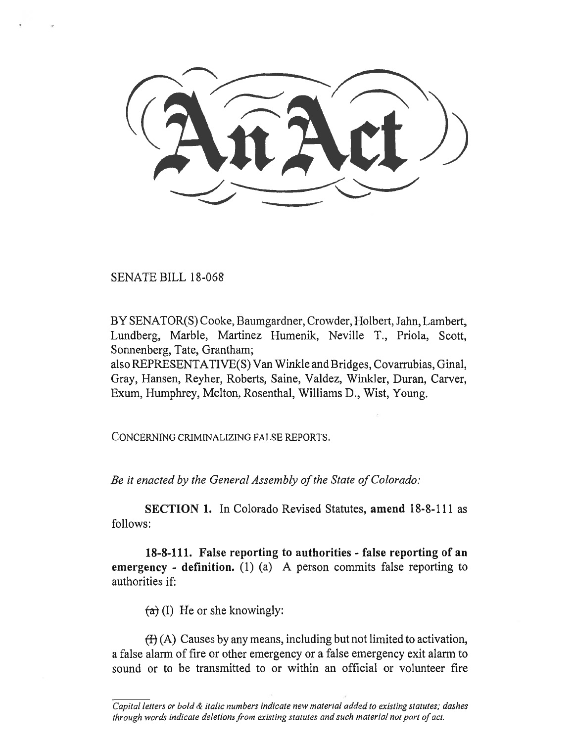SENATE BILL 18-068

BY SENATOR(S) Cooke, Baumgardner, Crowder, Holbert, Jahn, Lambert, Lundberg, Marble, Martinez Humenik, Neville T., Priola, Scott, Sonnenberg, Tate, Grantham;

also REPRESENTATIVE(S) Van Winkle and Bridges, Covarrubias, Ginal, Gray, Hansen, Reyher, Roberts, Saine, Valdez, Winkler, Duran, Carver, Exum, Humphrey, Melton, Rosenthal, Williams D., Wist, Young.

CONCERNING CRIMINALIZING FALSE REPORTS.

*Be it enacted by the General Assembly of the State of Colorado:* 

**SECTION 1.** In Colorado Revised Statutes, **amend** 18-8-111 as follows:

**18-8-111. False reporting to authorities - false reporting of an emergency** - definition. (1) (a) A person commits false reporting to authorities if:

 $(a)$  (I) He or she knowingly:

 $(H)(A)$  Causes by any means, including but not limited to activation, a false alarm of fire or other emergency or a false emergency exit alarm to sound or to be transmitted to or within an official or volunteer fire

Capital letters or bold & italic numbers indicate new material added to existing statutes; dashes through words indicate deletions from existing statutes and such material not part of act.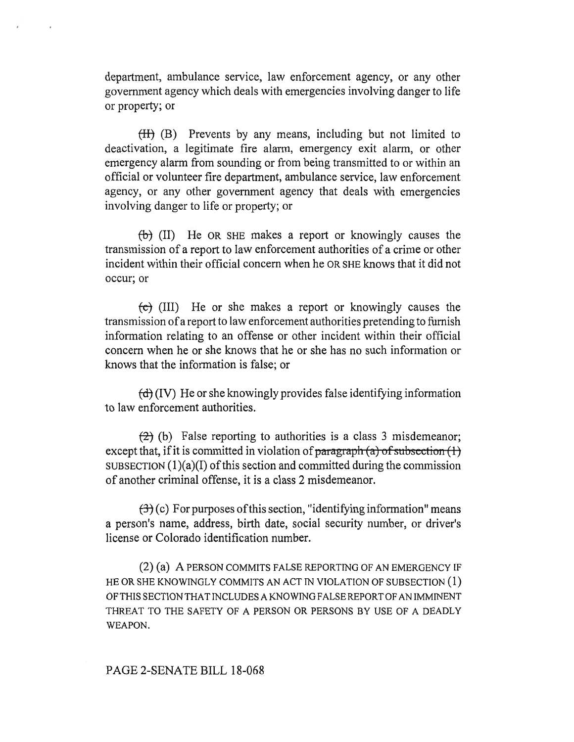department, ambulance service, law enforcement agency, or any other government agency which deals with emergencies involving danger to life or property; or

(II) (B) Prevents by any means, including but not limited to deactivation, a legitimate fire alarm, emergency exit alarm, or other emergency alarm from sounding or from being transmitted to or within an official or volunteer fire department, ambulance service, law enforcement agency, or any other government agency that deals with emergencies involving danger to life or property; or

 $(\theta)$  (II) He OR SHE makes a report or knowingly causes the transmission of a report to law enforcement authorities of a crime or other incident within their official concern when he OR SHE knows that it did not occur; or

 $\left(\epsilon\right)$  (III) He or she makes a report or knowingly causes the transmission of a report to law enforcement authorities pretending to furnish information relating to an offense or other incident within their official concern when he or she knows that he or she has no such information or knows that the information is false; or

 $\left(\frac{d}{d}\right)$  (IV) He or she knowingly provides false identifying information to law enforcement authorities.

 $(2)$  (b) False reporting to authorities is a class 3 misdemeanor; except that, if it is committed in violation of paragraph  $(a)$  of subsection  $(1)$ SUBSECTION  $(1)(a)(I)$  of this section and committed during the commission of another criminal offense, it is a class 2 misdemeanor.

 $(\exists)$  (c) For purposes of this section, "identifying information" means a person's name, address, birth date, social security number, or driver's license or Colorado identification number.

(2) (a) A PERSON COMMITS FALSE REPORTING OF AN EMERGENCY IF HE OR SHE KNOWINGLY COMMITS AN ACT IN VIOLATION OF SUBSECTION (1) OF THIS SECTION THAT INCLUDES A KNOWING FALSE REPORT OF AN IMMINENT THREAT TO THE SAFETY OF A PERSON OR PERSONS BY USE OF A DEADLY WEAPON.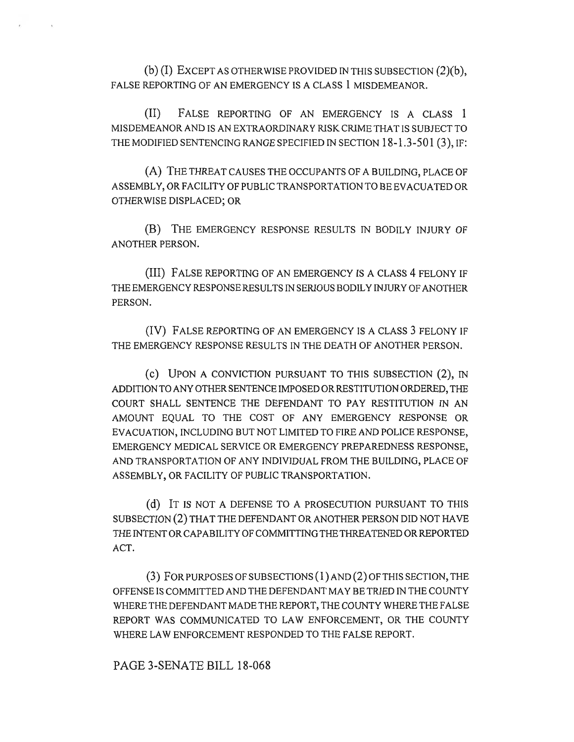(b) (I) EXCEPT AS OTHERWISE PROVIDED IN THIS SUBSECTION (2)(b), FALSE REPORTING OF AN EMERGENCY IS A CLASS 1 MISDEMEANOR.

(II) FALSE REPORTING OF AN EMERGENCY IS A CLASS 1 MISDEMEANOR AND IS AN EXTRAORDINARY RISK CRIME THAT IS SUBJECT TO THE MODIFIED SENTENCING RANGE SPECIFIED IN SECTION 18-1.3-501(3), IF:

(A) THE THREAT CAUSES THE OCCUPANTS OF A BUILDING, PLACE OF ASSEMBLY, OR FACILITY OF PUBLIC TRANSPORTATION TO BE EVACUATED OR OTHERWISE DISPLACED; OR

(B) THE EMERGENCY RESPONSE RESULTS IN BODILY INJURY OF ANOTHER PERSON.

(III) FALSE REPORTING OF AN EMERGENCY IS A CLASS 4 FELONY IF THE EMERGENCY RESPONSE RESULTS IN SERIOUS BODILY INJURY OF ANOTHER PERSON.

(IV) FALSE REPORTING OF AN EMERGENCY IS A CLASS 3 FELONY IF THE EMERGENCY RESPONSE RESULTS IN THE DEATH OF ANOTHER PERSON.

(C) UPON A CONVICTION PURSUANT TO THIS SUBSECTION (2), IN ADDITION TO ANY OTHER SENTENCE IMPOSED OR RESTITUTION ORDERED, THE COURT SHALL SENTENCE THE DEFENDANT TO PAY RESTITUTION IN AN AMOUNT EQUAL TO THE COST OF ANY EMERGENCY RESPONSE OR EVACUATION, INCLUDING BUT NOT LIMITED TO FIRE AND POLICE RESPONSE, EMERGENCY MEDICAL SERVICE OR EMERGENCY PREPAREDNESS RESPONSE, AND TRANSPORTATION OF ANY INDIVIDUAL FROM THE BUILDING, PLACE OF ASSEMBLY, OR FACILITY OF PUBLIC TRANSPORTATION.

(d) IT IS NOT A DEFENSE TO A PROSECUTION PURSUANT TO THIS SUBSECTION (2) THAT THE DEFENDANT OR ANOTHER PERSON DID NOT HAVE THE INTENT OR CAPABILITY OF COMMITTING THE THREATENED OR REPORTED ACT.

(3) FOR PURPOSES OF SUBSECTIONS (1) AND (2) OF THIS SECTION, THE OFFENSE IS COMMITTED AND THE DEFENDANT MAY BE TRIED IN THE COUNTY WHERE THE DEFENDANT MADE THE REPORT, THE COUNTY WHERE THE FALSE REPORT WAS COMMUNICATED TO LAW ENFORCEMENT, OR THE COUNTY WHERE LAW ENFORCEMENT RESPONDED TO THE FALSE REPORT.

PAGE 3-SENATE BILL 18-068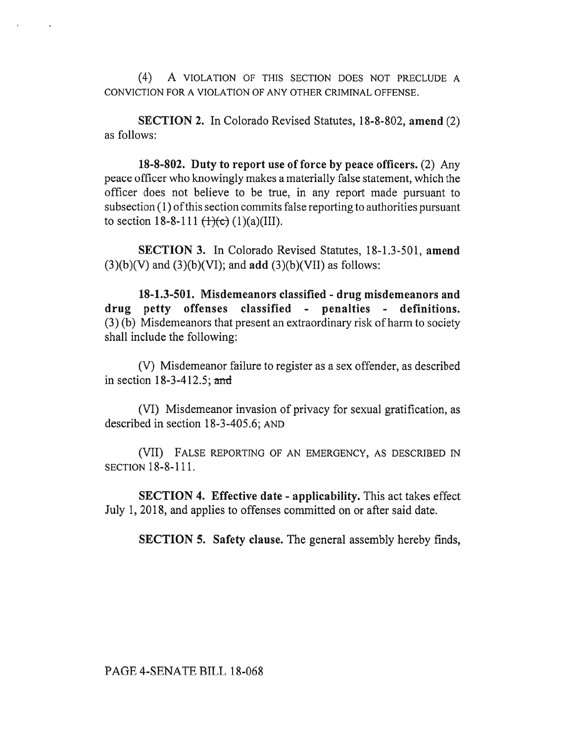(4) A VIOLATION OF THIS SECTION DOES NOT PRECLUDE A CONVICTION FOR A VIOLATION OF ANY OTHER CRIMINAL OFFENSE.

**SECTION 2.** In Colorado Revised Statutes, 18-8-802, **amend** (2) as follows:

**18-8-802. Duty to report use of force by peace officers.** (2) Any peace officer who knowingly makes a materially false statement, which the officer does not believe to be true, in any report made pursuant to subsection (1) ofthis section commits false reporting to authorities pursuant to section 18-8-111  $(\frac{1}{c})$  (1)(a)(III).

**SECTION 3.** In Colorado Revised Statutes, 18-1.3-501, **amend**  (3)(b)(V) and (3)(b)(VI); and **add** (3)(b)(VII) as follows:

**18-1.3-501. Misdemeanors classified - drug misdemeanors and drug petty offenses classified - penalties - definitions.**  (3) (b) Misdemeanors that present an extraordinary risk of harm to society shall include the following:

(V) Misdemeanor failure to register as a sex offender, as described in section  $18-3-412.5$ ; and

(VI) Misdemeanor invasion of privacy for sexual gratification, as described in section 18-3-405.6; AND

(VII) FALSE REPORTING OF AN EMERGENCY, AS DESCRIBED IN SECTION 18-8-111.

**SECTION 4. Effective date - applicability.** This act takes effect July 1, 2018, and applies to offenses committed on or after said date.

**SECTION 5. Safety clause.** The general assembly hereby finds,

PAGE 4-SENATE BILL 18-068